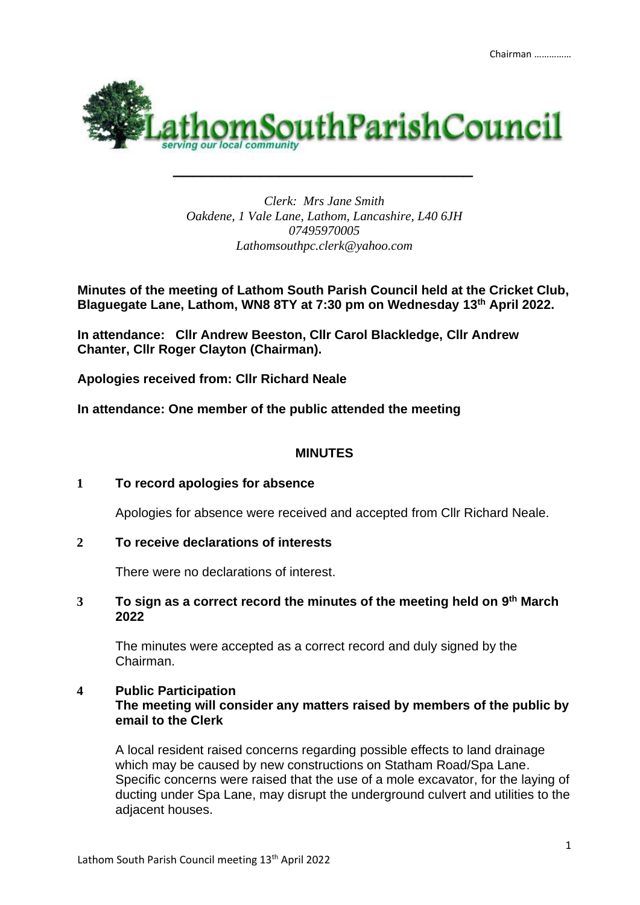

*Clerk: Mrs Jane Smith Oakdene, 1 Vale Lane, Lathom, Lancashire, L40 6JH 07495970005 Lathomsouthpc.clerk@yahoo.com*

*\_\_\_\_\_\_\_\_\_\_\_\_\_\_\_\_\_\_\_\_\_\_\_\_\_\_\_\_\_\_\_*

**Minutes of the meeting of Lathom South Parish Council held at the Cricket Club, Blaguegate Lane, Lathom, WN8 8TY at 7:30 pm on Wednesday 13th April 2022.** 

**In attendance: Cllr Andrew Beeston, Cllr Carol Blackledge, Cllr Andrew Chanter, Cllr Roger Clayton (Chairman).**

**Apologies received from: Cllr Richard Neale**

**In attendance: One member of the public attended the meeting**

# **MINUTES**

## **1 To record apologies for absence**

Apologies for absence were received and accepted from Cllr Richard Neale.

## **2 To receive declarations of interests**

There were no declarations of interest.

## **3 To sign as a correct record the minutes of the meeting held on 9 th March 2022**

The minutes were accepted as a correct record and duly signed by the Chairman.

## **4 Public Participation The meeting will consider any matters raised by members of the public by email to the Clerk**

A local resident raised concerns regarding possible effects to land drainage which may be caused by new constructions on Statham Road/Spa Lane. Specific concerns were raised that the use of a mole excavator, for the laying of ducting under Spa Lane, may disrupt the underground culvert and utilities to the adjacent houses.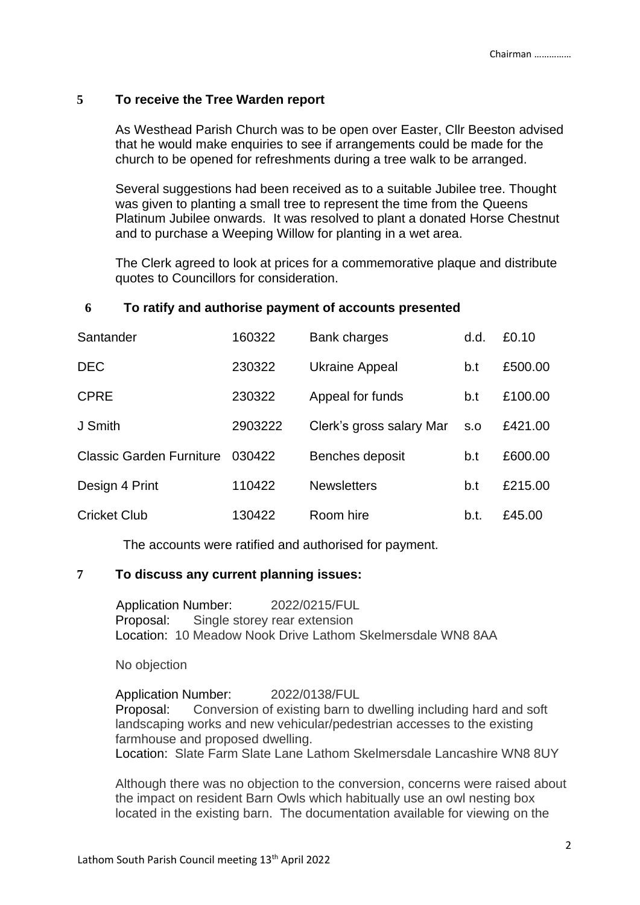### **5 To receive the Tree Warden report**

As Westhead Parish Church was to be open over Easter, Cllr Beeston advised that he would make enquiries to see if arrangements could be made for the church to be opened for refreshments during a tree walk to be arranged.

Several suggestions had been received as to a suitable Jubilee tree. Thought was given to planting a small tree to represent the time from the Queens Platinum Jubilee onwards. It was resolved to plant a donated Horse Chestnut and to purchase a Weeping Willow for planting in a wet area.

The Clerk agreed to look at prices for a commemorative plaque and distribute quotes to Councillors for consideration.

#### **6 To ratify and authorise payment of accounts presented**

| Santander                       | 160322  | Bank charges             | d.d. | £0.10   |
|---------------------------------|---------|--------------------------|------|---------|
| <b>DEC</b>                      | 230322  | <b>Ukraine Appeal</b>    | b.t  | £500.00 |
| <b>CPRE</b>                     | 230322  | Appeal for funds         | b.t  | £100.00 |
| J Smith                         | 2903222 | Clerk's gross salary Mar | S.O  | £421.00 |
| <b>Classic Garden Furniture</b> | 030422  | Benches deposit          | b.t  | £600.00 |
| Design 4 Print                  | 110422  | <b>Newsletters</b>       | b.t  | £215.00 |
| <b>Cricket Club</b>             | 130422  | Room hire                | b.t. | £45.00  |

The accounts were ratified and authorised for payment.

#### **7 To discuss any current planning issues:**

Application Number: 2022/0215/FUL Proposal: Single storey rear extension Location: 10 Meadow Nook Drive Lathom Skelmersdale WN8 8AA

No objection

Application Number: 2022/0138/FUL Proposal: Conversion of existing barn to dwelling including hard and soft landscaping works and new vehicular/pedestrian accesses to the existing farmhouse and proposed dwelling. Location: Slate Farm Slate Lane Lathom Skelmersdale Lancashire WN8 8UY

Although there was no objection to the conversion, concerns were raised about the impact on resident Barn Owls which habitually use an owl nesting box located in the existing barn. The documentation available for viewing on the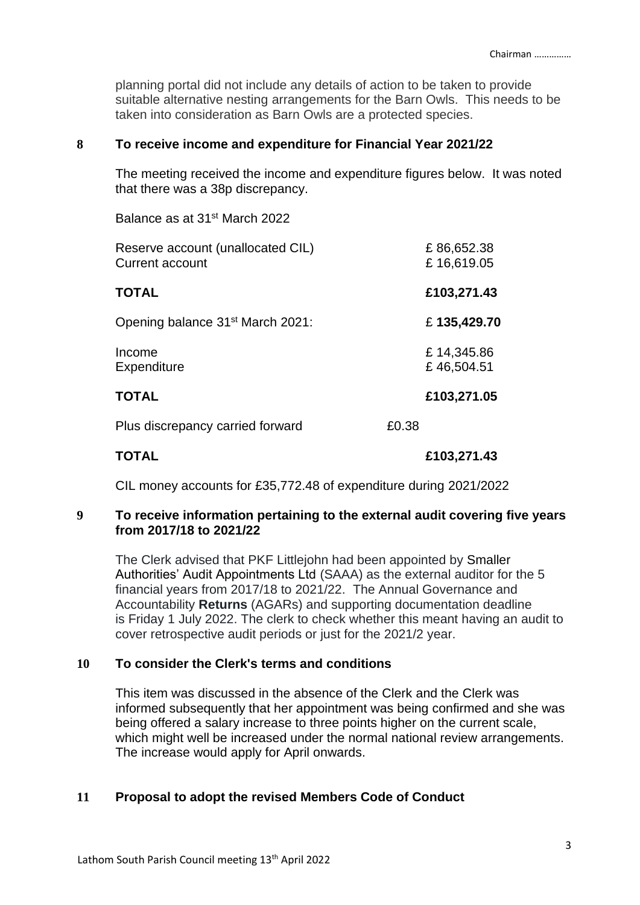planning portal did not include any details of action to be taken to provide suitable alternative nesting arrangements for the Barn Owls. This needs to be taken into consideration as Barn Owls are a protected species.

#### **8 To receive income and expenditure for Financial Year 2021/22**

The meeting received the income and expenditure figures below. It was noted that there was a 38p discrepancy.

Balance as at 31st March 2022

| Reserve account (unallocated CIL)<br><b>Current account</b> | £86,652.38<br>£16,619.05 |
|-------------------------------------------------------------|--------------------------|
| TOTAL                                                       | £103,271.43              |
| Opening balance 31 <sup>st</sup> March 2021:                | £135,429.70              |
| Income<br>Expenditure                                       | £14,345.86<br>£46,504.51 |
| TOTAL                                                       | £103,271.05              |
| Plus discrepancy carried forward                            | £0.38                    |
| TOTAL                                                       | £103,271.43              |

CIL money accounts for £35,772.48 of expenditure during 2021/2022

### **9 To receive information pertaining to the external audit covering five years from 2017/18 to 2021/22**

The Clerk advised that PKF Littlejohn had been appointed by [Smaller](https://s.factsline.com/redir.php?trans=3158044f-ab92-11ec-9df8-068c856fb256@cflapi2.factsline.co.uk&cs=35&loc=http://www.localaudits.co.uk/)  [Authorities' Audit Appointments Ltd](https://s.factsline.com/redir.php?trans=3158044f-ab92-11ec-9df8-068c856fb256@cflapi2.factsline.co.uk&cs=35&loc=http://www.localaudits.co.uk/) (SAAA) as the external auditor for the 5 financial years from 2017/18 to 2021/22. The Annual Governance and Accountability **Returns** (AGARs) and supporting documentation deadline is Friday 1 July 2022. The clerk to check whether this meant having an audit to cover retrospective audit periods or just for the 2021/2 year.

#### **10 To consider the Clerk's terms and conditions**

This item was discussed in the absence of the Clerk and the Clerk was informed subsequently that her appointment was being confirmed and she was being offered a salary increase to three points higher on the current scale, which might well be increased under the normal national review arrangements. The increase would apply for April onwards.

#### **11 Proposal to adopt the revised Members Code of Conduct**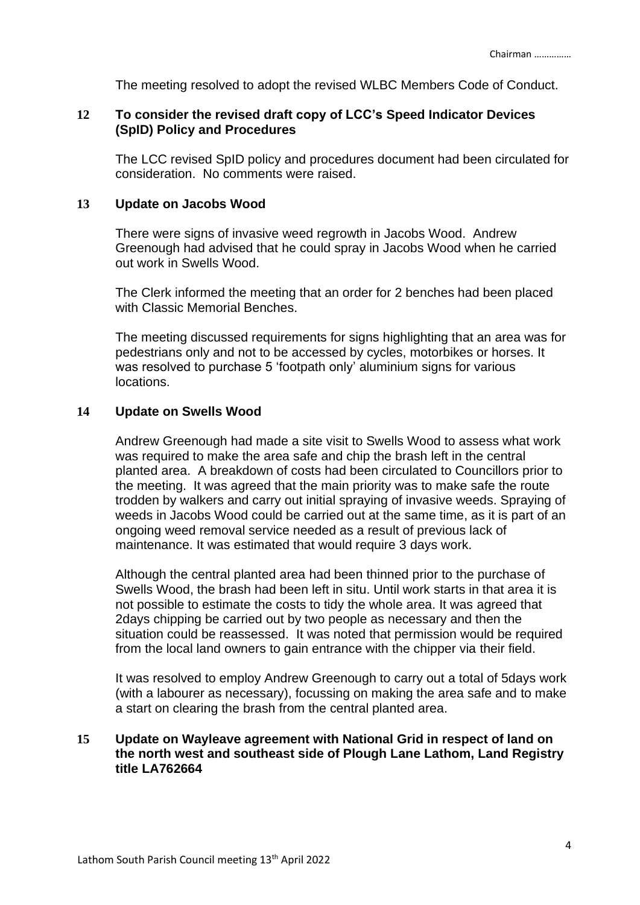The meeting resolved to adopt the revised WLBC Members Code of Conduct.

## **12 To consider the revised draft copy of LCC's Speed Indicator Devices (SpID) Policy and Procedures**

The LCC revised SpID policy and procedures document had been circulated for consideration. No comments were raised.

### **13 Update on Jacobs Wood**

There were signs of invasive weed regrowth in Jacobs Wood. Andrew Greenough had advised that he could spray in Jacobs Wood when he carried out work in Swells Wood.

The Clerk informed the meeting that an order for 2 benches had been placed with Classic Memorial Benches.

The meeting discussed requirements for signs highlighting that an area was for pedestrians only and not to be accessed by cycles, motorbikes or horses. It was resolved to purchase 5 'footpath only' aluminium signs for various locations.

## **14 Update on Swells Wood**

Andrew Greenough had made a site visit to Swells Wood to assess what work was required to make the area safe and chip the brash left in the central planted area. A breakdown of costs had been circulated to Councillors prior to the meeting. It was agreed that the main priority was to make safe the route trodden by walkers and carry out initial spraying of invasive weeds. Spraying of weeds in Jacobs Wood could be carried out at the same time, as it is part of an ongoing weed removal service needed as a result of previous lack of maintenance. It was estimated that would require 3 days work.

Although the central planted area had been thinned prior to the purchase of Swells Wood, the brash had been left in situ. Until work starts in that area it is not possible to estimate the costs to tidy the whole area. It was agreed that 2days chipping be carried out by two people as necessary and then the situation could be reassessed. It was noted that permission would be required from the local land owners to gain entrance with the chipper via their field.

It was resolved to employ Andrew Greenough to carry out a total of 5days work (with a labourer as necessary), focussing on making the area safe and to make a start on clearing the brash from the central planted area.

### **15 Update on Wayleave agreement with National Grid in respect of land on the north west and southeast side of Plough Lane Lathom, Land Registry title LA762664**